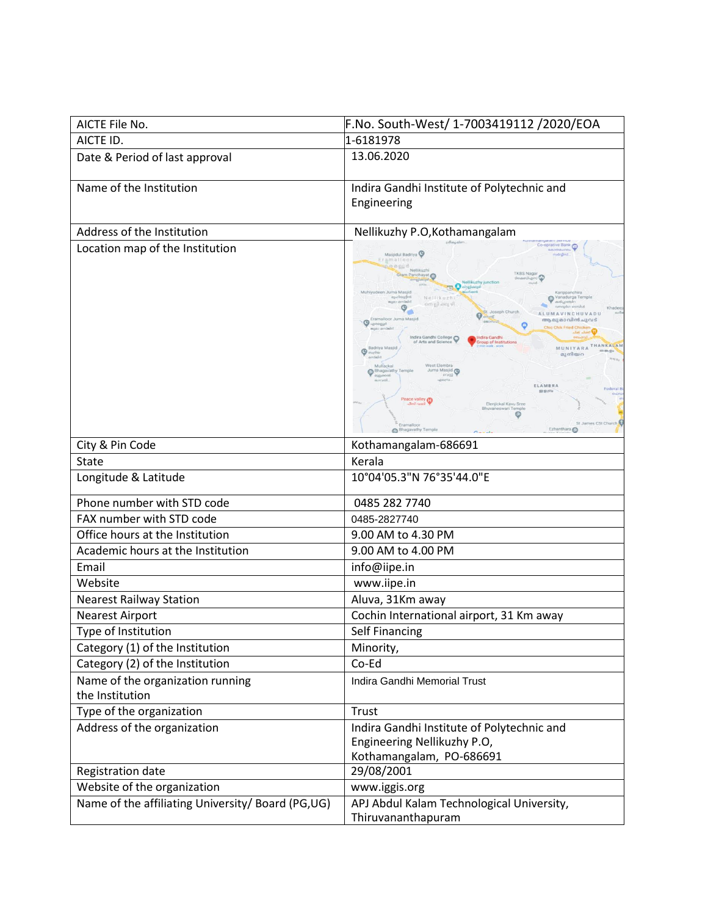| AICTE File No.                                      | F.No. South-West/ 1-7003419112 /2020/EOA                                                                                                                                                                                                                                                                                                                                                                                                                                                                                                                                                                                                                                                                                                                                                                                                                                                            |
|-----------------------------------------------------|-----------------------------------------------------------------------------------------------------------------------------------------------------------------------------------------------------------------------------------------------------------------------------------------------------------------------------------------------------------------------------------------------------------------------------------------------------------------------------------------------------------------------------------------------------------------------------------------------------------------------------------------------------------------------------------------------------------------------------------------------------------------------------------------------------------------------------------------------------------------------------------------------------|
| AICTE ID.                                           | 1-6181978                                                                                                                                                                                                                                                                                                                                                                                                                                                                                                                                                                                                                                                                                                                                                                                                                                                                                           |
| Date & Period of last approval                      | 13.06.2020                                                                                                                                                                                                                                                                                                                                                                                                                                                                                                                                                                                                                                                                                                                                                                                                                                                                                          |
| Name of the Institution                             | Indira Gandhi Institute of Polytechnic and<br>Engineering                                                                                                                                                                                                                                                                                                                                                                                                                                                                                                                                                                                                                                                                                                                                                                                                                                           |
| Address of the Institution                          | Nellikuzhy P.O, Kothamangalam                                                                                                                                                                                                                                                                                                                                                                                                                                                                                                                                                                                                                                                                                                                                                                                                                                                                       |
| Location map of the Institution                     | Co-oprative Bank<br>Masjidul Badriya<br>made firm)<br>Eramalloor<br><b>to o eu<sup>d</sup></b> Nellikuzh<br>Gram Panchayat<br>Nellikuzhy junctio<br><b>Til Complete</b><br>Muhiyudeen Juma Masjid<br>my-climatical<br>Vanadurga Temple<br>Nellikuzh<br>National capacity<br>ளை ஜி. க்ஜ சி<br>$\phi_{-}$<br>t. Joseph Church<br><b>ALUMAVINCHUVADU</b><br>Eramalloor Juma Masjid<br>ആലുമാവിൻചുവട്<br>O<br>poneud<br>Chic Chik Fried Chicken<br>bliebna cape<br>Indira Gandhi College<br>Indira Gandhi<br>of Arts and Science<br><b>Group of Institutions</b><br>MUNIYARA THANKALAM<br>Badriya Masjid<br>o<br>enarilm<br>മുനിയറ<br>Mullackal<br>Juma Masjid<br>Bhagavathy Temple<br>auguocel<br>executed.<br>FLAMRRA<br>Federal B<br>空息(の)<br>Peace valley<br>Elenjickal Kavu Sree<br>Bhuvaneswari Temple<br>St James CSI Church<br>Eramalloon<br>Ezhanthara <sup>O</sup><br><b>Shagavathy Temple</b> |
| City & Pin Code                                     | Kothamangalam-686691                                                                                                                                                                                                                                                                                                                                                                                                                                                                                                                                                                                                                                                                                                                                                                                                                                                                                |
| <b>State</b>                                        | Kerala                                                                                                                                                                                                                                                                                                                                                                                                                                                                                                                                                                                                                                                                                                                                                                                                                                                                                              |
| Longitude & Latitude                                | 10°04'05.3"N 76°35'44.0"E                                                                                                                                                                                                                                                                                                                                                                                                                                                                                                                                                                                                                                                                                                                                                                                                                                                                           |
| Phone number with STD code                          | 0485 282 7740                                                                                                                                                                                                                                                                                                                                                                                                                                                                                                                                                                                                                                                                                                                                                                                                                                                                                       |
| FAX number with STD code                            | 0485-2827740                                                                                                                                                                                                                                                                                                                                                                                                                                                                                                                                                                                                                                                                                                                                                                                                                                                                                        |
| Office hours at the Institution                     | 9.00 AM to 4.30 PM                                                                                                                                                                                                                                                                                                                                                                                                                                                                                                                                                                                                                                                                                                                                                                                                                                                                                  |
| Academic hours at the Institution                   | 9.00 AM to 4.00 PM                                                                                                                                                                                                                                                                                                                                                                                                                                                                                                                                                                                                                                                                                                                                                                                                                                                                                  |
| Email                                               | info@iipe.in                                                                                                                                                                                                                                                                                                                                                                                                                                                                                                                                                                                                                                                                                                                                                                                                                                                                                        |
| Website                                             | www.iipe.in                                                                                                                                                                                                                                                                                                                                                                                                                                                                                                                                                                                                                                                                                                                                                                                                                                                                                         |
| <b>Nearest Railway Station</b>                      | Aluva, 31Km away                                                                                                                                                                                                                                                                                                                                                                                                                                                                                                                                                                                                                                                                                                                                                                                                                                                                                    |
| <b>Nearest Airport</b>                              | Cochin International airport, 31 Km away                                                                                                                                                                                                                                                                                                                                                                                                                                                                                                                                                                                                                                                                                                                                                                                                                                                            |
| Type of Institution                                 | Self Financing                                                                                                                                                                                                                                                                                                                                                                                                                                                                                                                                                                                                                                                                                                                                                                                                                                                                                      |
| Category (1) of the Institution                     | Minority,                                                                                                                                                                                                                                                                                                                                                                                                                                                                                                                                                                                                                                                                                                                                                                                                                                                                                           |
| Category (2) of the Institution                     | Co-Ed                                                                                                                                                                                                                                                                                                                                                                                                                                                                                                                                                                                                                                                                                                                                                                                                                                                                                               |
| Name of the organization running<br>the Institution | Indira Gandhi Memorial Trust                                                                                                                                                                                                                                                                                                                                                                                                                                                                                                                                                                                                                                                                                                                                                                                                                                                                        |
| Type of the organization                            | Trust                                                                                                                                                                                                                                                                                                                                                                                                                                                                                                                                                                                                                                                                                                                                                                                                                                                                                               |
| Address of the organization                         | Indira Gandhi Institute of Polytechnic and<br>Engineering Nellikuzhy P.O,<br>Kothamangalam, PO-686691                                                                                                                                                                                                                                                                                                                                                                                                                                                                                                                                                                                                                                                                                                                                                                                               |
| Registration date                                   | 29/08/2001                                                                                                                                                                                                                                                                                                                                                                                                                                                                                                                                                                                                                                                                                                                                                                                                                                                                                          |
| Website of the organization                         | www.iggis.org                                                                                                                                                                                                                                                                                                                                                                                                                                                                                                                                                                                                                                                                                                                                                                                                                                                                                       |
| Name of the affiliating University/ Board (PG,UG)   | APJ Abdul Kalam Technological University,<br>Thiruvananthapuram                                                                                                                                                                                                                                                                                                                                                                                                                                                                                                                                                                                                                                                                                                                                                                                                                                     |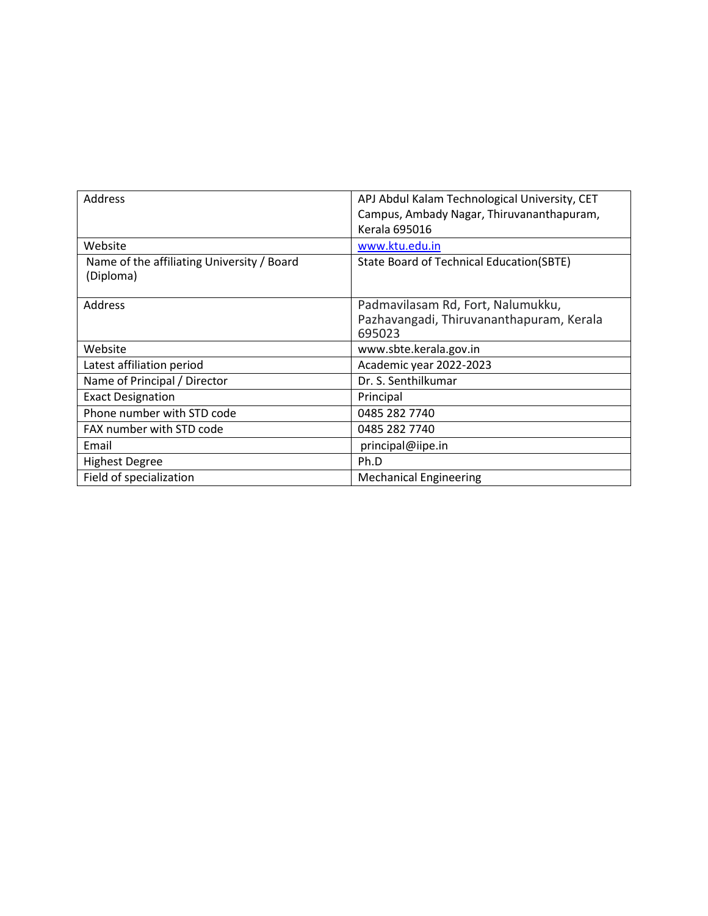| Address                                                 | APJ Abdul Kalam Technological University, CET                                           |  |
|---------------------------------------------------------|-----------------------------------------------------------------------------------------|--|
|                                                         | Campus, Ambady Nagar, Thiruvananthapuram,                                               |  |
|                                                         | <b>Kerala 695016</b>                                                                    |  |
| Website                                                 | www.ktu.edu.in                                                                          |  |
| Name of the affiliating University / Board<br>(Diploma) | State Board of Technical Education(SBTE)                                                |  |
| Address                                                 | Padmavilasam Rd, Fort, Nalumukku,<br>Pazhavangadi, Thiruvananthapuram, Kerala<br>695023 |  |
| Website                                                 | www.sbte.kerala.gov.in                                                                  |  |
| Latest affiliation period                               | Academic year 2022-2023                                                                 |  |
| Name of Principal / Director                            | Dr. S. Senthilkumar                                                                     |  |
| <b>Exact Designation</b>                                | Principal                                                                               |  |
| Phone number with STD code                              | 0485 282 7740                                                                           |  |
| FAX number with STD code                                | 0485 282 7740                                                                           |  |
| Email                                                   | principal@iipe.in                                                                       |  |
| <b>Highest Degree</b>                                   | Ph.D                                                                                    |  |
| Field of specialization                                 | <b>Mechanical Engineering</b>                                                           |  |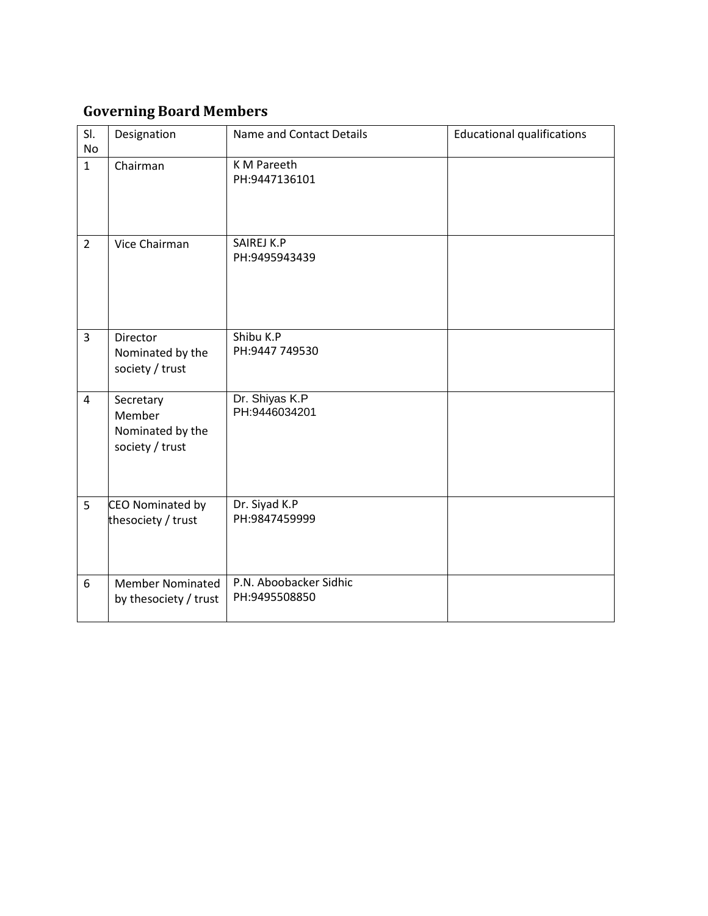# **Governing Board Members**

| SI.<br><b>No</b> | Designation                                                | Name and Contact Details                | <b>Educational qualifications</b> |
|------------------|------------------------------------------------------------|-----------------------------------------|-----------------------------------|
| $\mathbf{1}$     | Chairman                                                   | K M Pareeth<br>PH:9447136101            |                                   |
| $\overline{2}$   | Vice Chairman                                              | SAIREJ K.P<br>PH:9495943439             |                                   |
| $\overline{3}$   | Director<br>Nominated by the<br>society / trust            | Shibu K.P<br>PH:9447 749530             |                                   |
| $\overline{4}$   | Secretary<br>Member<br>Nominated by the<br>society / trust | Dr. Shiyas K.P<br>PH:9446034201         |                                   |
| 5                | CEO Nominated by<br>thesociety / trust                     | Dr. Siyad K.P<br>PH:9847459999          |                                   |
| 6                | <b>Member Nominated</b><br>by thesociety / trust           | P.N. Aboobacker Sidhic<br>PH:9495508850 |                                   |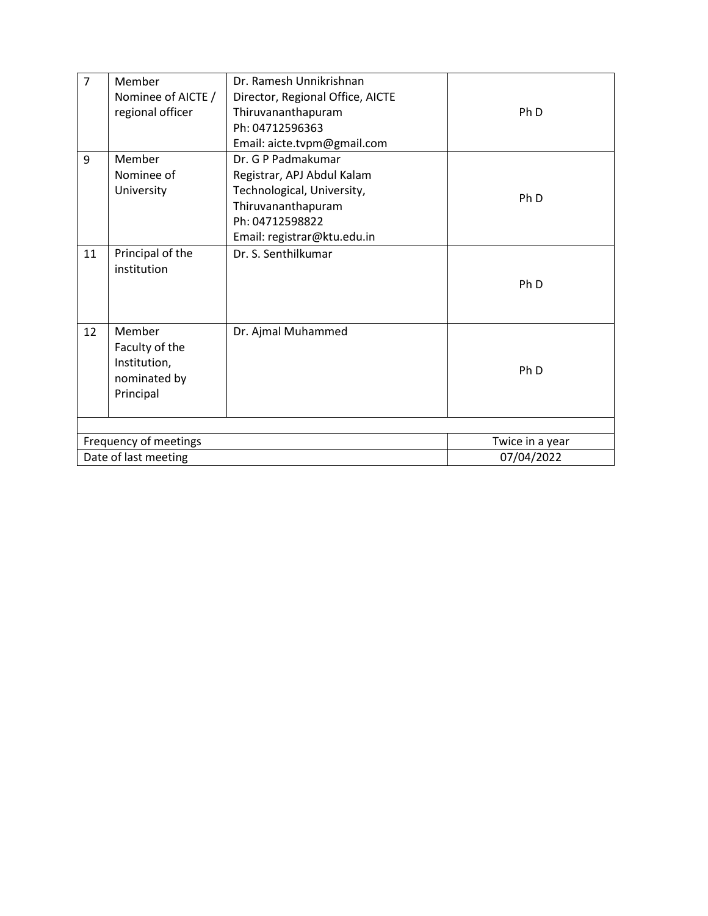| $\overline{7}$ | Member<br>Nominee of AICTE /<br>regional officer                      | Dr. Ramesh Unnikrishnan<br>Director, Regional Office, AICTE<br>Thiruvananthapuram<br>Ph: 04712596363<br>Email: aicte.tvpm@gmail.com                    | Ph <sub>D</sub>               |
|----------------|-----------------------------------------------------------------------|--------------------------------------------------------------------------------------------------------------------------------------------------------|-------------------------------|
| 9              | Member<br>Nominee of<br>University                                    | Dr. G P Padmakumar<br>Registrar, APJ Abdul Kalam<br>Technological, University,<br>Thiruvananthapuram<br>Ph: 04712598822<br>Email: registrar@ktu.edu.in | Ph <sub>D</sub>               |
| 11             | Principal of the<br>institution                                       | Dr. S. Senthilkumar                                                                                                                                    | Ph <sub>D</sub>               |
| 12             | Member<br>Faculty of the<br>Institution,<br>nominated by<br>Principal | Dr. Ajmal Muhammed                                                                                                                                     | Ph <sub>D</sub>               |
|                |                                                                       |                                                                                                                                                        |                               |
|                | Frequency of meetings<br>Date of last meeting                         |                                                                                                                                                        | Twice in a year<br>07/04/2022 |
|                |                                                                       |                                                                                                                                                        |                               |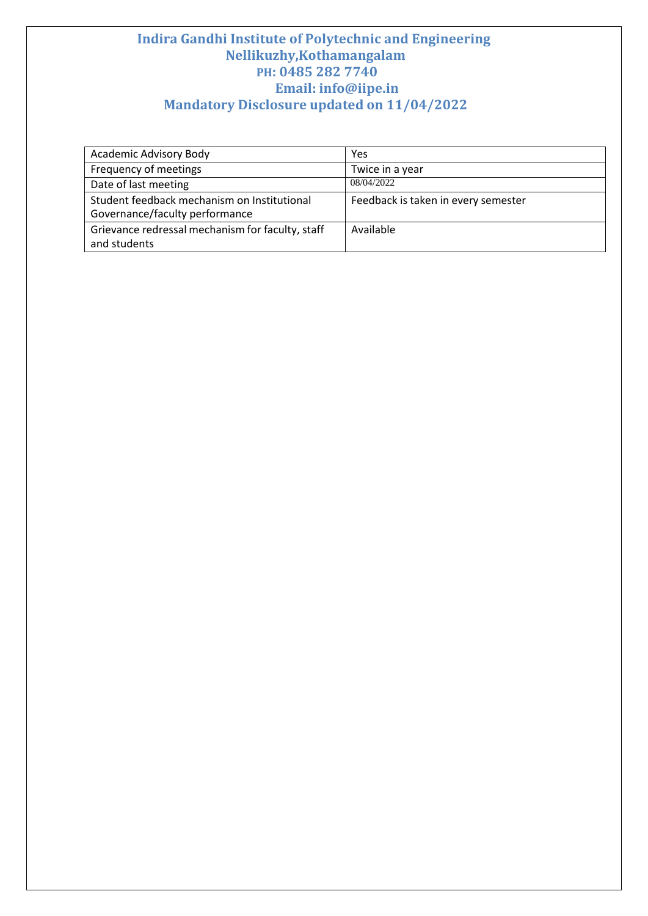| <b>Academic Advisory Body</b>                    | Yes                                 |
|--------------------------------------------------|-------------------------------------|
| Frequency of meetings                            | Twice in a year                     |
| Date of last meeting                             | 08/04/2022                          |
| Student feedback mechanism on Institutional      | Feedback is taken in every semester |
| Governance/faculty performance                   |                                     |
| Grievance redressal mechanism for faculty, staff | Available                           |
| and students                                     |                                     |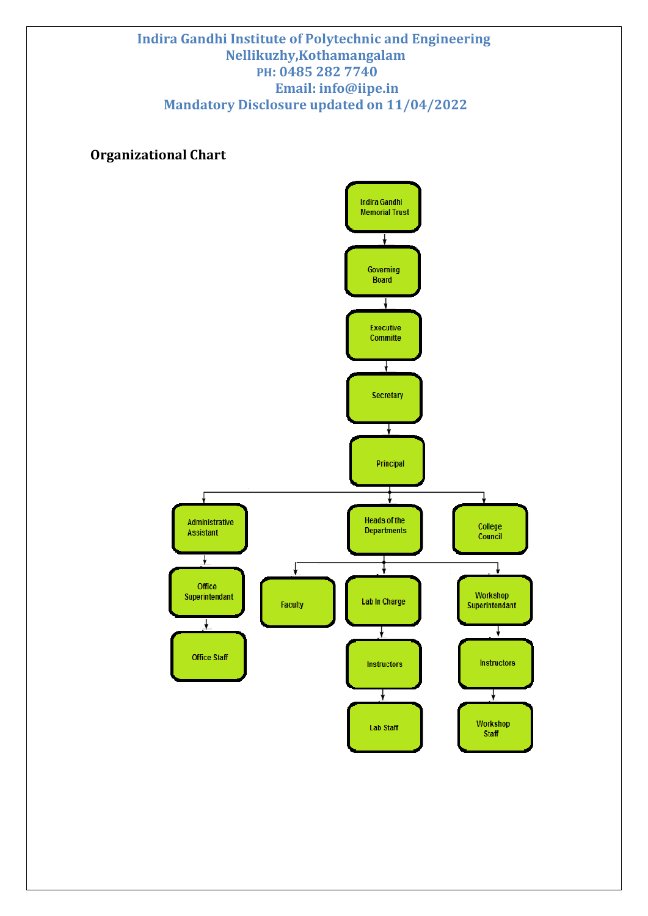# **Organizational Chart**

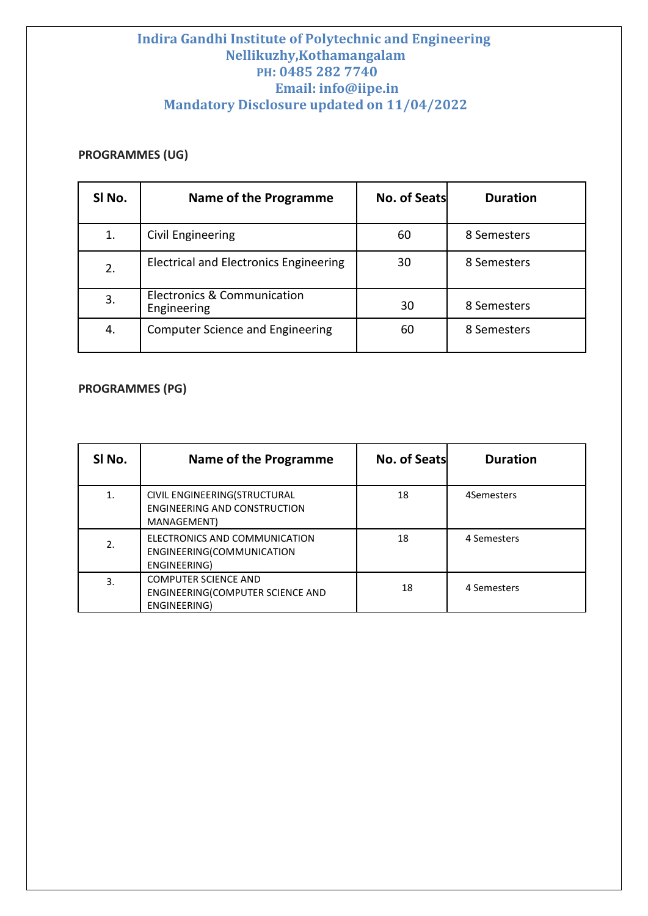### **PROGRAMMES (UG)**

| SI No. | Name of the Programme                                 | <b>No. of Seats</b> | <b>Duration</b> |
|--------|-------------------------------------------------------|---------------------|-----------------|
| 1.     | Civil Engineering                                     | 60                  | 8 Semesters     |
| 2.     | Electrical and Electronics Engineering                | 30                  | 8 Semesters     |
| 3.     | <b>Electronics &amp; Communication</b><br>Engineering | 30                  | 8 Semesters     |
| 4.     | <b>Computer Science and Engineering</b>               | 60                  | 8 Semesters     |

### **PROGRAMMES (PG)**

| SI No. | Name of the Programme                                                              | No. of Seats | <b>Duration</b> |
|--------|------------------------------------------------------------------------------------|--------------|-----------------|
| 1.     | CIVIL ENGINEERING(STRUCTURAL<br><b>ENGINEERING AND CONSTRUCTION</b><br>MANAGEMENT) | 18           | 4Semesters      |
| 2.     | ELECTRONICS AND COMMUNICATION<br>ENGINEERING(COMMUNICATION<br>ENGINEERING)         | 18           | 4 Semesters     |
| 3.     | <b>COMPUTER SCIENCE AND</b><br>ENGINEERING(COMPUTER SCIENCE AND<br>ENGINEERING)    | 18           | 4 Semesters     |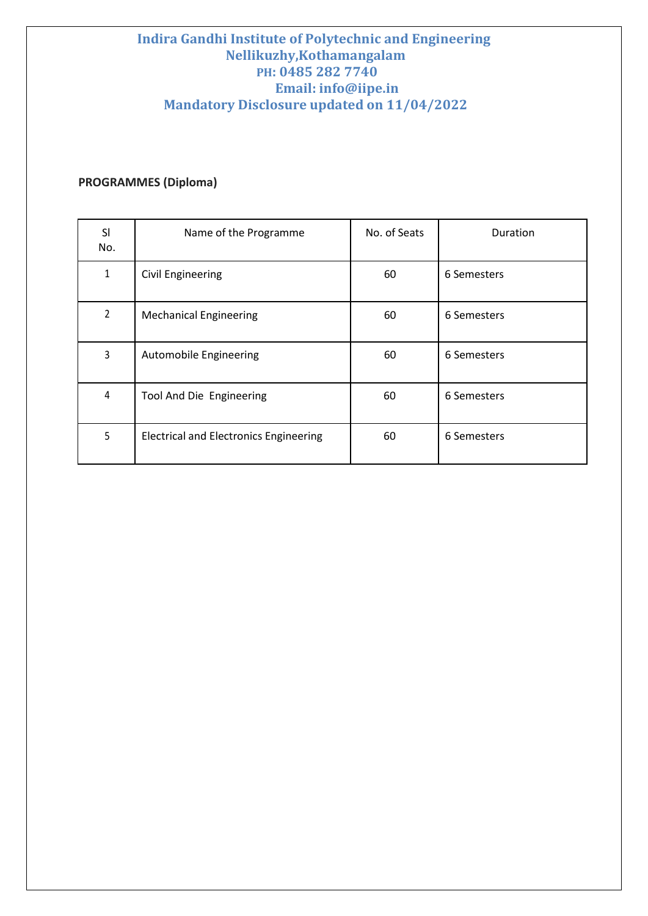# **PROGRAMMES (Diploma)**

| SI<br>No. | Name of the Programme                         | No. of Seats | Duration    |
|-----------|-----------------------------------------------|--------------|-------------|
| 1         | <b>Civil Engineering</b>                      | 60           | 6 Semesters |
| 2         | <b>Mechanical Engineering</b>                 | 60           | 6 Semesters |
| 3         | Automobile Engineering                        | 60           | 6 Semesters |
| 4         | Tool And Die Engineering                      | 60           | 6 Semesters |
| 5         | <b>Electrical and Electronics Engineering</b> | 60           | 6 Semesters |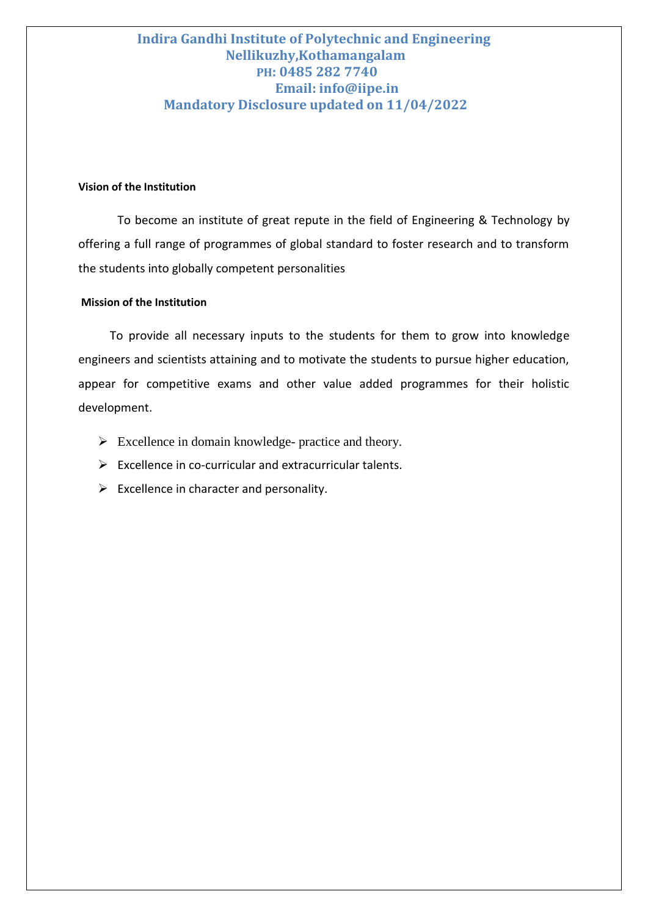#### **Vision of the Institution**

To become an institute of great repute in the field of Engineering & Technology by offering a full range of programmes of global standard to foster research and to transform the students into globally competent personalities

#### **Mission of the Institution**

 To provide all necessary inputs to the students for them to grow into knowledge engineers and scientists attaining and to motivate the students to pursue higher education, appear for competitive exams and other value added programmes for their holistic development.

- $\triangleright$  Excellence in domain knowledge- practice and theory.
- $\triangleright$  Excellence in co-curricular and extracurricular talents.
- $\triangleright$  Excellence in character and personality.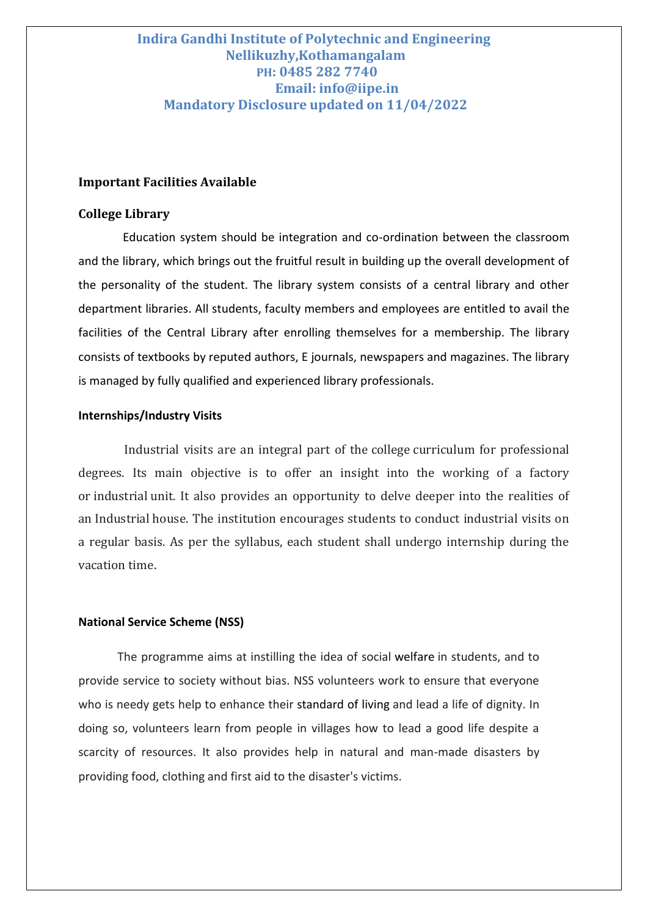#### **Important Facilities Available**

#### **College Library**

 Education system should be integration and co-ordination between the classroom and the library, which brings out the fruitful result in building up the overall development of the personality of the student. The library system consists of a central library and other department libraries. All students, faculty members and employees are entitled to avail the facilities of the Central Library after enrolling themselves for a membership. The library consists of textbooks by reputed authors, E journals, newspapers and magazines. The library is managed by fully qualified and experienced library professionals.

#### **Internships/Industry Visits**

Industrial visits are an integral part of the college curriculum for professional degrees. Its main objective is to offer an insight into the working of a factory or industrial unit. It also provides an opportunity to delve deeper into the realities of an Industrial house. The institution encourages students to conduct industrial visits on a regular basis. As per the syllabus, each student shall undergo internship during the vacation time.

#### **National Service Scheme (NSS)**

The programme aims at instilling the idea of social welfare in students, and to provide service to society without bias. NSS volunteers work to ensure that everyone who is needy gets help to enhance their standard of living and lead a life of dignity. In doing so, volunteers learn from people in villages how to lead a good life despite a scarcity of resources. It also provides help in natural and man-made disasters by providing food, clothing and first aid to the disaster's victims.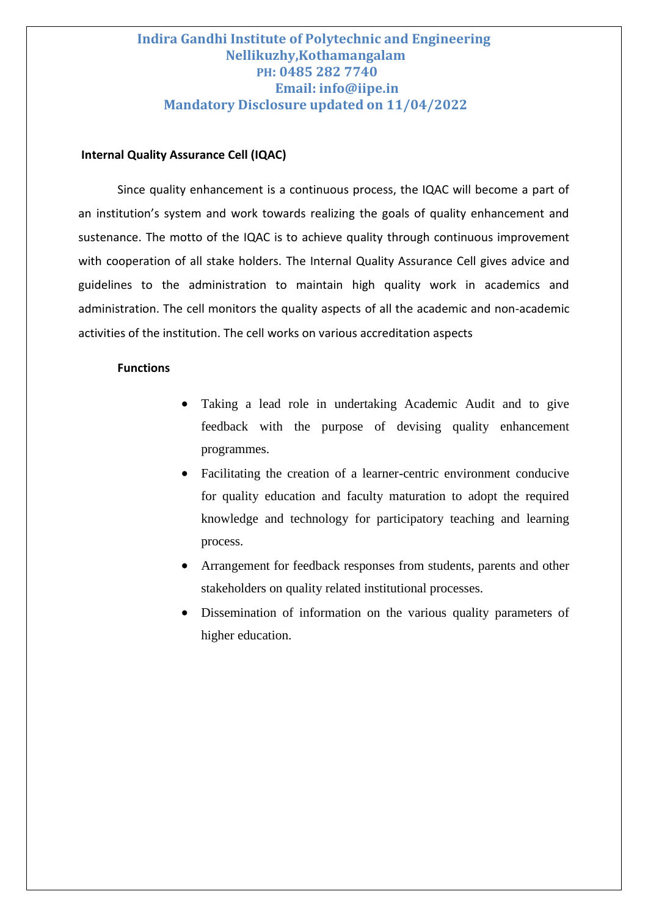#### **Internal Quality Assurance Cell (IQAC)**

Since quality enhancement is a continuous process, the IQAC will become a part of an institution's system and work towards realizing the goals of quality enhancement and sustenance. The motto of the IQAC is to achieve quality through continuous improvement with cooperation of all stake holders. The Internal Quality Assurance Cell gives advice and guidelines to the administration to maintain high quality work in academics and administration. The cell monitors the quality aspects of all the academic and non-academic activities of the institution. The cell works on various accreditation aspects

#### **Functions**

- Taking a lead role in undertaking Academic Audit and to give feedback with the purpose of devising quality enhancement programmes.
- Facilitating the creation of a learner-centric environment conducive for quality education and faculty maturation to adopt the required knowledge and technology for participatory teaching and learning process.
- Arrangement for feedback responses from students, parents and other stakeholders on quality related institutional processes.
- Dissemination of information on the various quality parameters of higher education.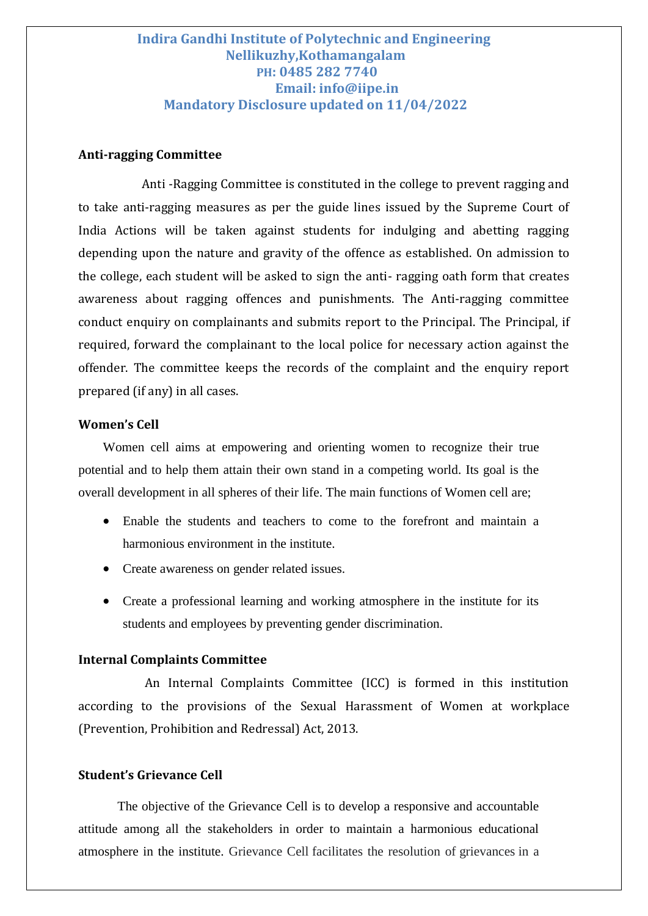#### **Anti-ragging Committee**

Anti -Ragging Committee is constituted in the college to prevent ragging and to take anti-ragging measures as per the guide lines issued by the Supreme Court of India Actions will be taken against students for indulging and abetting ragging depending upon the nature and gravity of the offence as established. On admission to the college, each student will be asked to sign the anti- ragging oath form that creates awareness about ragging offences and punishments. The Anti-ragging committee conduct enquiry on complainants and submits report to the Principal. The Principal, if required, forward the complainant to the local police for necessary action against the offender. The committee keeps the records of the complaint and the enquiry report prepared (if any) in all cases.

#### **Women's Cell**

Women cell aims at empowering and orienting women to recognize their true potential and to help them attain their own stand in a competing world. Its goal is the overall development in all spheres of their life. The main functions of Women cell are;

- Enable the students and teachers to come to the forefront and maintain a harmonious environment in the institute.
- Create awareness on gender related issues.
- Create a professional learning and working atmosphere in the institute for its students and employees by preventing gender discrimination.

#### **Internal Complaints Committee**

An Internal Complaints Committee (ICC) is formed in this institution according to the provisions of the Sexual Harassment of Women at workplace (Prevention, Prohibition and Redressal) Act, 2013.

#### **Student's Grievance Cell**

The objective of the Grievance Cell is to develop a responsive and accountable attitude among all the stakeholders in order to maintain a harmonious educational atmosphere in the institute. Grievance Cell facilitates the resolution of grievances in a